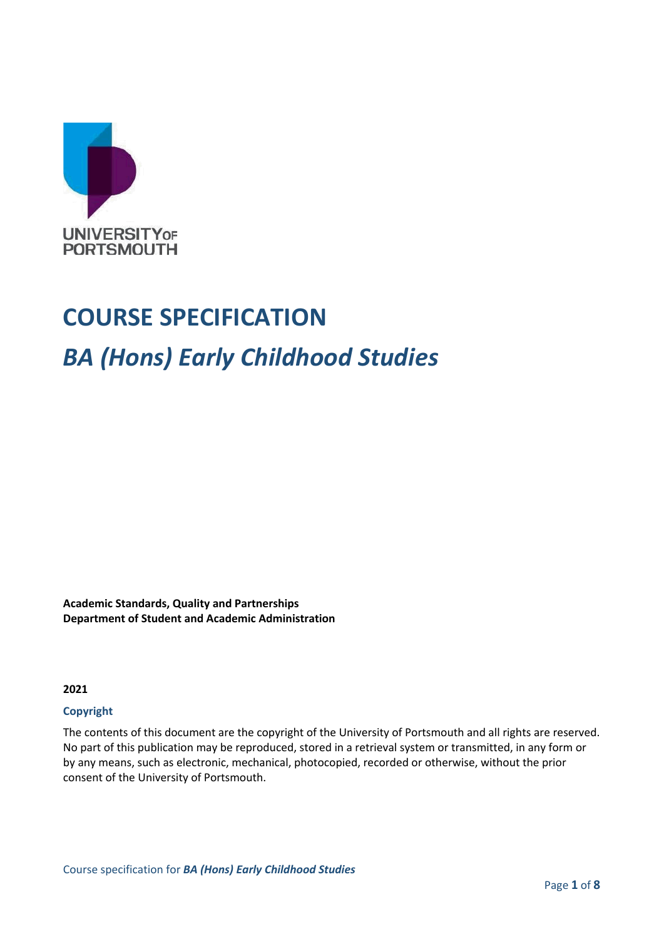

# **COURSE SPECIFICATION** *BA (Hons) Early Childhood Studies*

**Academic Standards, Quality and Partnerships Department of Student and Academic Administration**

**2021**

#### **Copyright**

The contents of this document are the copyright of the University of Portsmouth and all rights are reserved. No part of this publication may be reproduced, stored in a retrieval system or transmitted, in any form or by any means, such as electronic, mechanical, photocopied, recorded or otherwise, without the prior consent of the University of Portsmouth.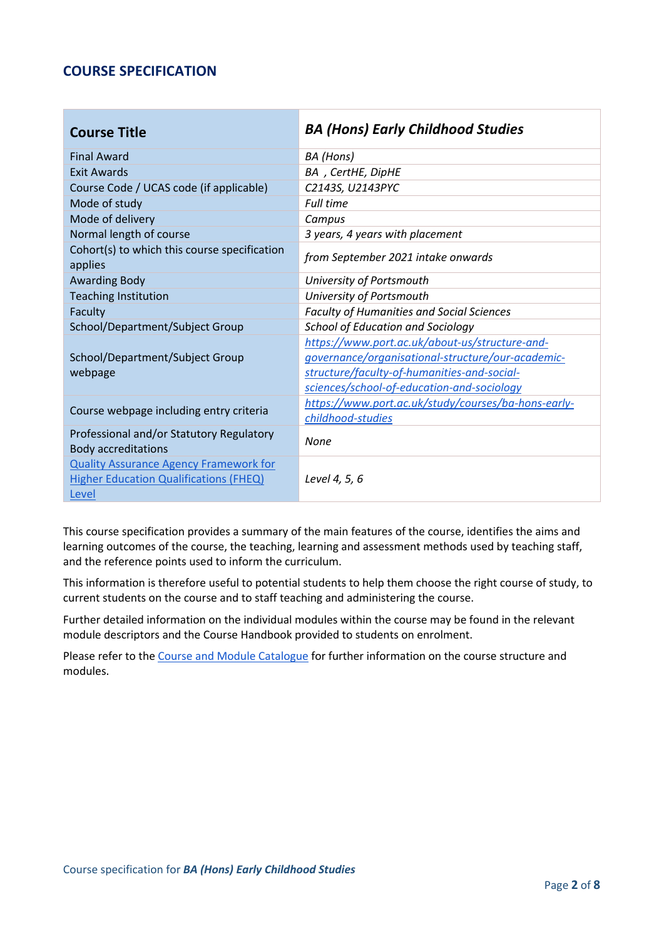#### **COURSE SPECIFICATION**

| <b>Course Title</b>                                                    | <b>BA (Hons) Early Childhood Studies</b>            |
|------------------------------------------------------------------------|-----------------------------------------------------|
| <b>Final Award</b>                                                     | BA (Hons)                                           |
| <b>Exit Awards</b>                                                     | BA, CertHE, DipHE                                   |
| Course Code / UCAS code (if applicable)                                | C2143S, U2143PYC                                    |
| Mode of study                                                          | <b>Full time</b>                                    |
| Mode of delivery                                                       | Campus                                              |
| Normal length of course                                                | 3 years, 4 years with placement                     |
| Cohort(s) to which this course specification<br>applies                | from September 2021 intake onwards                  |
| <b>Awarding Body</b>                                                   | University of Portsmouth                            |
| <b>Teaching Institution</b>                                            | University of Portsmouth                            |
| Faculty                                                                | <b>Faculty of Humanities and Social Sciences</b>    |
| School/Department/Subject Group                                        | <b>School of Education and Sociology</b>            |
|                                                                        | https://www.port.ac.uk/about-us/structure-and-      |
| School/Department/Subject Group                                        | governance/organisational-structure/our-academic-   |
| webpage                                                                | structure/faculty-of-humanities-and-social-         |
|                                                                        | sciences/school-of-education-and-sociology          |
| Course webpage including entry criteria                                | https://www.port.ac.uk/study/courses/ba-hons-early- |
|                                                                        | childhood-studies                                   |
| Professional and/or Statutory Regulatory<br><b>Body accreditations</b> | None                                                |
| <b>Quality Assurance Agency Framework for</b>                          |                                                     |
| <b>Higher Education Qualifications (FHEQ)</b>                          | Level 4, 5, 6                                       |
| Level                                                                  |                                                     |

This course specification provides a summary of the main features of the course, identifies the aims and learning outcomes of the course, the teaching, learning and assessment methods used by teaching staff, and the reference points used to inform the curriculum.

This information is therefore useful to potential students to help them choose the right course of study, to current students on the course and to staff teaching and administering the course.

Further detailed information on the individual modules within the course may be found in the relevant module descriptors and the Course Handbook provided to students on enrolment.

Please refer to the [Course and Module Catalogue](https://course-module-catalog.port.ac.uk/#/welcome) for further information on the course structure and modules.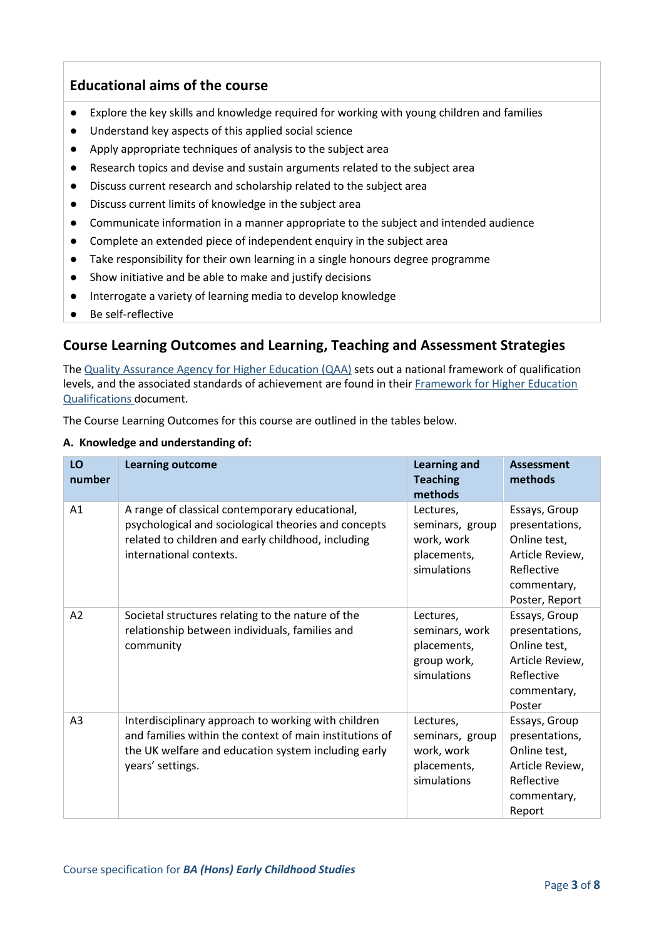## **Educational aims of the course**

- Explore the key skills and knowledge required for working with young children and families
- Understand key aspects of this applied social science
- Apply appropriate techniques of analysis to the subject area
- Research topics and devise and sustain arguments related to the subject area
- Discuss current research and scholarship related to the subject area
- Discuss current limits of knowledge in the subject area
- Communicate information in a manner appropriate to the subject and intended audience
- Complete an extended piece of independent enquiry in the subject area
- Take responsibility for their own learning in a single honours degree programme
- Show initiative and be able to make and justify decisions
- Interrogate a variety of learning media to develop knowledge
- Be self-reflective

# **Course Learning Outcomes and Learning, Teaching and Assessment Strategies**

The [Quality Assurance Agency for Higher Education \(QAA\)](http://www.qaa.ac.uk/en) sets out a national framework of qualification levels, and the associated standards of achievement are found in their [Framework for Higher Education](https://www.qaa.ac.uk/en/quality-code/qualifications-and-credit-frameworks)  [Qualifications](https://www.qaa.ac.uk/en/quality-code/qualifications-and-credit-frameworks) document.

The Course Learning Outcomes for this course are outlined in the tables below.

#### **A. Knowledge and understanding of:**

| LO<br>number   | <b>Learning outcome</b>                                                                                                                                                                   | <b>Learning and</b><br><b>Teaching</b><br>methods                        | <b>Assessment</b><br>methods                                                                                      |
|----------------|-------------------------------------------------------------------------------------------------------------------------------------------------------------------------------------------|--------------------------------------------------------------------------|-------------------------------------------------------------------------------------------------------------------|
| A <sub>1</sub> | A range of classical contemporary educational,<br>psychological and sociological theories and concepts<br>related to children and early childhood, including<br>international contexts.   | Lectures,<br>seminars, group<br>work, work<br>placements,<br>simulations | Essays, Group<br>presentations,<br>Online test,<br>Article Review,<br>Reflective<br>commentary,<br>Poster, Report |
| A2             | Societal structures relating to the nature of the<br>relationship between individuals, families and<br>community                                                                          | Lectures,<br>seminars, work<br>placements,<br>group work,<br>simulations | Essays, Group<br>presentations,<br>Online test,<br>Article Review,<br>Reflective<br>commentary,<br>Poster         |
| A <sub>3</sub> | Interdisciplinary approach to working with children<br>and families within the context of main institutions of<br>the UK welfare and education system including early<br>years' settings. | Lectures,<br>seminars, group<br>work, work<br>placements,<br>simulations | Essays, Group<br>presentations,<br>Online test,<br>Article Review,<br>Reflective<br>commentary,<br>Report         |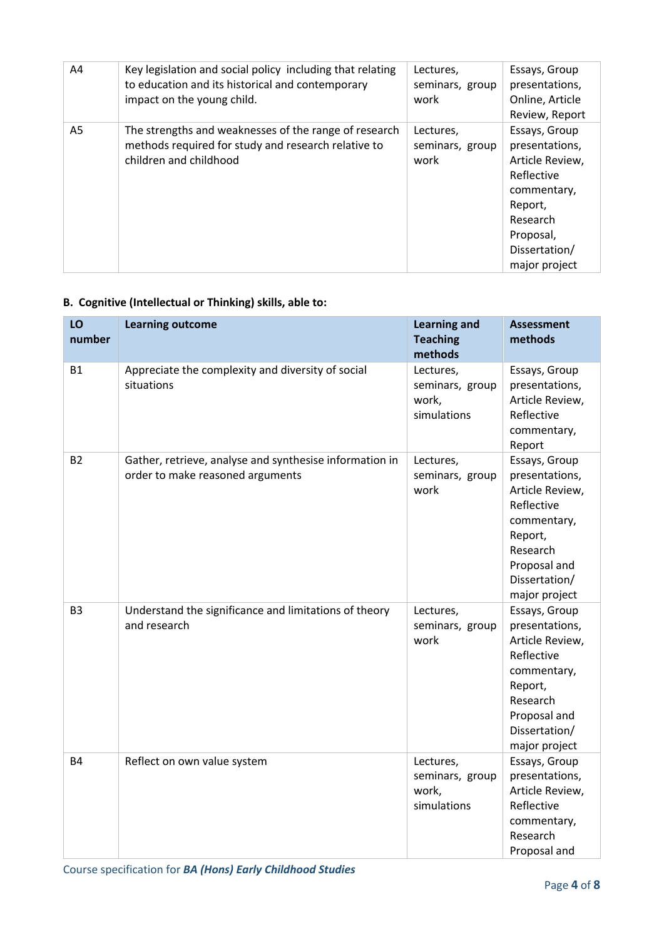| A4 | Key legislation and social policy including that relating<br>to education and its historical and contemporary<br>impact on the young child. | Lectures,<br>seminars, group<br>work | Essays, Group<br>presentations,<br>Online, Article<br>Review, Report                                                                                  |
|----|---------------------------------------------------------------------------------------------------------------------------------------------|--------------------------------------|-------------------------------------------------------------------------------------------------------------------------------------------------------|
| A5 | The strengths and weaknesses of the range of research<br>methods required for study and research relative to<br>children and childhood      | Lectures,<br>seminars, group<br>work | Essays, Group<br>presentations,<br>Article Review,<br>Reflective<br>commentary,<br>Report,<br>Research<br>Proposal,<br>Dissertation/<br>major project |

### **B. Cognitive (Intellectual or Thinking) skills, able to:**

| LO<br>number   | <b>Learning outcome</b>                                                                     | <b>Learning and</b><br><b>Teaching</b><br>methods    | <b>Assessment</b><br>methods                                                                                                                             |
|----------------|---------------------------------------------------------------------------------------------|------------------------------------------------------|----------------------------------------------------------------------------------------------------------------------------------------------------------|
| <b>B1</b>      | Appreciate the complexity and diversity of social<br>situations                             | Lectures,<br>seminars, group<br>work,<br>simulations | Essays, Group<br>presentations,<br>Article Review,<br>Reflective<br>commentary,<br>Report                                                                |
| <b>B2</b>      | Gather, retrieve, analyse and synthesise information in<br>order to make reasoned arguments | Lectures,<br>seminars, group<br>work                 | Essays, Group<br>presentations,<br>Article Review,<br>Reflective<br>commentary,<br>Report,<br>Research<br>Proposal and<br>Dissertation/<br>major project |
| B <sub>3</sub> | Understand the significance and limitations of theory<br>and research                       | Lectures,<br>seminars, group<br>work                 | Essays, Group<br>presentations,<br>Article Review,<br>Reflective<br>commentary,<br>Report,<br>Research<br>Proposal and<br>Dissertation/<br>major project |
| <b>B4</b>      | Reflect on own value system                                                                 | Lectures,<br>seminars, group<br>work,<br>simulations | Essays, Group<br>presentations,<br>Article Review,<br>Reflective<br>commentary,<br>Research<br>Proposal and                                              |

Course specification for *BA (Hons) Early Childhood Studies*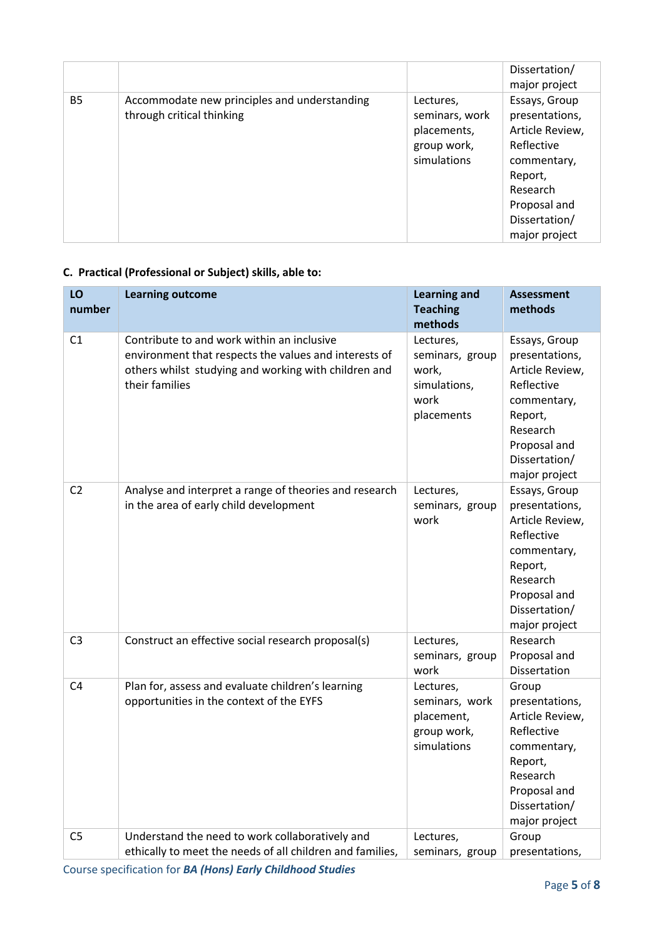|           |                                                                           |                                                                          | Dissertation/<br>major project                                                                                                                           |
|-----------|---------------------------------------------------------------------------|--------------------------------------------------------------------------|----------------------------------------------------------------------------------------------------------------------------------------------------------|
| <b>B5</b> | Accommodate new principles and understanding<br>through critical thinking | Lectures,<br>seminars, work<br>placements,<br>group work,<br>simulations | Essays, Group<br>presentations,<br>Article Review,<br>Reflective<br>commentary,<br>Report,<br>Research<br>Proposal and<br>Dissertation/<br>major project |

# **C. Practical (Professional or Subject) skills, able to:**

| LO<br>number   | <b>Learning outcome</b>                                                                                                                                                       | <b>Learning and</b><br><b>Teaching</b><br>methods                           | <b>Assessment</b><br>methods                                                                                                                             |
|----------------|-------------------------------------------------------------------------------------------------------------------------------------------------------------------------------|-----------------------------------------------------------------------------|----------------------------------------------------------------------------------------------------------------------------------------------------------|
| C1             | Contribute to and work within an inclusive<br>environment that respects the values and interests of<br>others whilst studying and working with children and<br>their families | Lectures,<br>seminars, group<br>work,<br>simulations,<br>work<br>placements | Essays, Group<br>presentations,<br>Article Review,<br>Reflective<br>commentary,<br>Report,<br>Research<br>Proposal and<br>Dissertation/<br>major project |
| C <sub>2</sub> | Analyse and interpret a range of theories and research<br>in the area of early child development                                                                              | Lectures,<br>seminars, group<br>work                                        | Essays, Group<br>presentations,<br>Article Review,<br>Reflective<br>commentary,<br>Report,<br>Research<br>Proposal and<br>Dissertation/<br>major project |
| C <sub>3</sub> | Construct an effective social research proposal(s)                                                                                                                            | Lectures,<br>seminars, group<br>work                                        | Research<br>Proposal and<br><b>Dissertation</b>                                                                                                          |
| C <sub>4</sub> | Plan for, assess and evaluate children's learning<br>opportunities in the context of the EYFS                                                                                 | Lectures,<br>seminars, work<br>placement,<br>group work,<br>simulations     | Group<br>presentations,<br>Article Review,<br>Reflective<br>commentary,<br>Report,<br>Research<br>Proposal and<br>Dissertation/<br>major project         |
| C <sub>5</sub> | Understand the need to work collaboratively and<br>ethically to meet the needs of all children and families,                                                                  | Lectures,<br>seminars, group                                                | Group<br>presentations,                                                                                                                                  |

Course specification for *BA (Hons) Early Childhood Studies*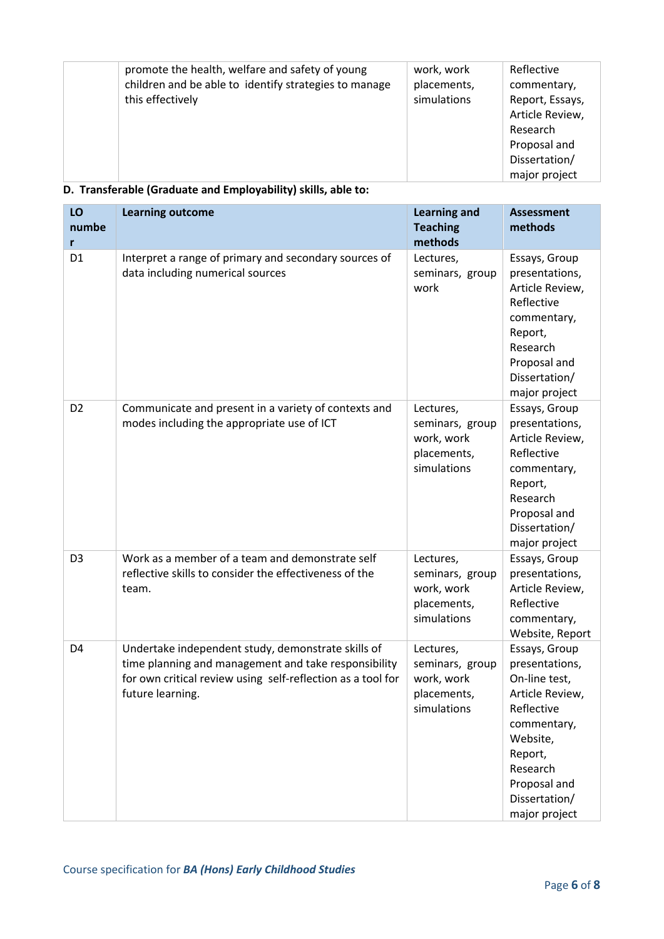| promote the health, welfare and safety of young<br>children and be able to identify strategies to manage<br>this effectively | work, work<br>placements,<br>simulations | Reflective<br>commentary,<br>Report, Essays,<br>Article Review,<br>Research<br>Proposal and |
|------------------------------------------------------------------------------------------------------------------------------|------------------------------------------|---------------------------------------------------------------------------------------------|
|                                                                                                                              |                                          | Dissertation/<br>major project                                                              |

#### **D. Transferable (Graduate and Employability) skills, able to:**

| LO<br>numbe<br>r | <b>Learning outcome</b>                                                                                                                                                                       | <b>Learning and</b><br><b>Teaching</b><br>methods                        | <b>Assessment</b><br>methods                                                                                                                                                          |
|------------------|-----------------------------------------------------------------------------------------------------------------------------------------------------------------------------------------------|--------------------------------------------------------------------------|---------------------------------------------------------------------------------------------------------------------------------------------------------------------------------------|
| D <sub>1</sub>   | Interpret a range of primary and secondary sources of<br>data including numerical sources                                                                                                     | Lectures,<br>seminars, group<br>work                                     | Essays, Group<br>presentations,<br>Article Review,<br>Reflective<br>commentary,<br>Report,<br>Research<br>Proposal and<br>Dissertation/<br>major project                              |
| D <sub>2</sub>   | Communicate and present in a variety of contexts and<br>modes including the appropriate use of ICT                                                                                            | Lectures,<br>seminars, group<br>work, work<br>placements,<br>simulations | Essays, Group<br>presentations,<br>Article Review,<br>Reflective<br>commentary,<br>Report,<br>Research<br>Proposal and<br>Dissertation/<br>major project                              |
| D <sub>3</sub>   | Work as a member of a team and demonstrate self<br>reflective skills to consider the effectiveness of the<br>team.                                                                            | Lectures,<br>seminars, group<br>work, work<br>placements,<br>simulations | Essays, Group<br>presentations,<br>Article Review,<br>Reflective<br>commentary,<br>Website, Report                                                                                    |
| D4               | Undertake independent study, demonstrate skills of<br>time planning and management and take responsibility<br>for own critical review using self-reflection as a tool for<br>future learning. | Lectures,<br>seminars, group<br>work, work<br>placements,<br>simulations | Essays, Group<br>presentations,<br>On-line test,<br>Article Review,<br>Reflective<br>commentary,<br>Website,<br>Report,<br>Research<br>Proposal and<br>Dissertation/<br>major project |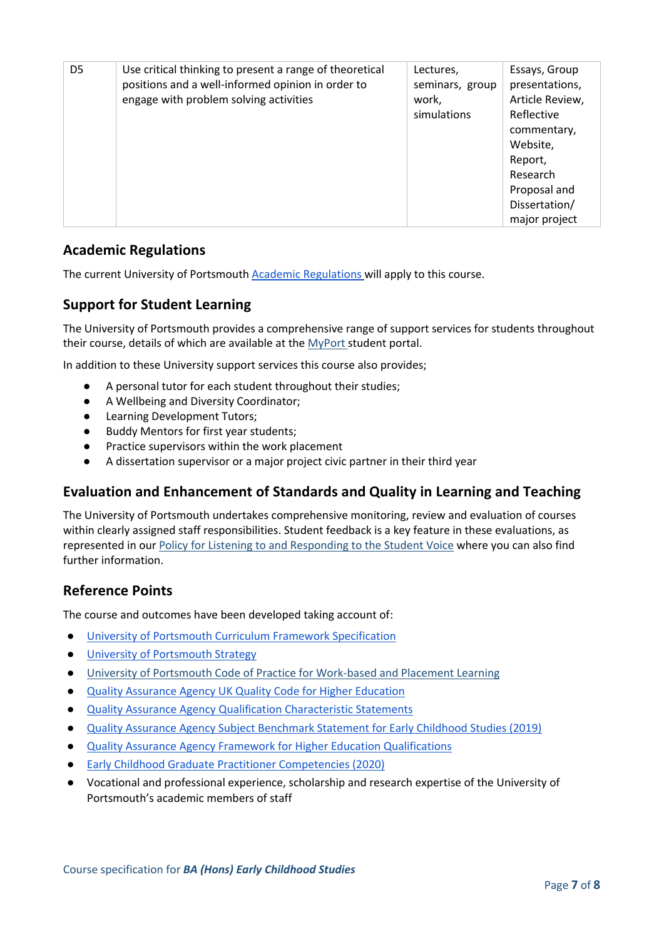| D <sub>5</sub> | Use critical thinking to present a range of theoretical<br>positions and a well-informed opinion in order to<br>engage with problem solving activities | Lectures,<br>seminars, group<br>work,<br>simulations | Essays, Group<br>presentations,<br>Article Review,<br>Reflective<br>commentary,<br>Website,<br>Report,<br>Research<br>Proposal and<br>Dissertation/<br>major project |
|----------------|--------------------------------------------------------------------------------------------------------------------------------------------------------|------------------------------------------------------|----------------------------------------------------------------------------------------------------------------------------------------------------------------------|
|----------------|--------------------------------------------------------------------------------------------------------------------------------------------------------|------------------------------------------------------|----------------------------------------------------------------------------------------------------------------------------------------------------------------------|

#### **Academic Regulations**

The current University of Portsmouth **Academic Regulations** will apply to this course.

#### **Support for Student Learning**

The University of Portsmouth provides a comprehensive range of support services for students throughout their course, details of which are available at the [MyPort](http://myport.ac.uk/) student portal.

In addition to these University support services this course also provides;

- A personal tutor for each student throughout their studies;
- A Wellbeing and Diversity Coordinator;
- **Learning Development Tutors;**
- **Buddy Mentors for first year students;**
- Practice supervisors within the work placement
- A dissertation supervisor or a major project civic partner in their third year

#### **Evaluation and Enhancement of Standards and Quality in Learning and Teaching**

The University of Portsmouth undertakes comprehensive monitoring, review and evaluation of courses within clearly assigned staff responsibilities. Student feedback is a key feature in these evaluations, as represented in our [Policy for Listening to and Responding to the Student Voice](http://policies.docstore.port.ac.uk/policy-069.pdf) where you can also find further information.

#### **Reference Points**

The course and outcomes have been developed taking account of:

- [University of Portsmouth Curriculum Framework Specification](https://policies.docstore.port.ac.uk/policy-217.pdf?_ga=2.262170252.1863271531.1625471462-353504235.1613498042)
- [University of Portsmouth Strategy](https://www.port.ac.uk/about-us/our-ambition/our-strategy)
- [University of Portsmouth Code of Practice for Work-based and Placement Learning](http://policies.docstore.port.ac.uk/policy-151.pdf)
- [Quality Assurance Agency UK Quality Code for Higher Education](https://www.qaa.ac.uk/quality-code)
- [Quality Assurance Agency Qualification Characteristic Statements](https://www.qaa.ac.uk/quality-code/characteristics-statements)
- [Quality Assurance Agency Subject Benchmark Statement for Early Childhood Studies \(2019\)](https://www.qaa.ac.uk/docs/qaa/subject-benchmark-statements/subject-benchmark-statement-early-childhood-studies.pdf)
- [Quality Assurance Agency Framework for Higher Education Qualifications](https://www.qaa.ac.uk/docs/qaa/quality-code/qualifications-frameworks.pdf)
- **[Early Childhood Graduate Practitioner Competencies \(2020\)](https://www.qaa.ac.uk/docs/qaa/subject-benchmark-statements/subject-benchmark-statement-early-childhood-studies.pdf)**
- Vocational and professional experience, scholarship and research expertise of the University of Portsmouth's academic members of staff